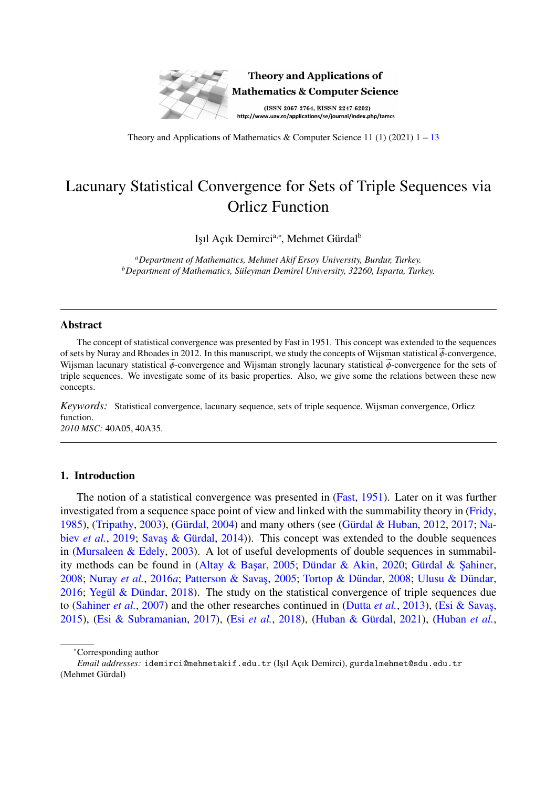

Theory and Applications of Mathematics & Computer Science 11 (1) (2021)  $1 - 13$  $1 - 13$ 

# Lacunary Statistical Convergence for Sets of Triple Sequences via Orlicz Function

Işıl Açık Demirci<sup>a,∗</sup>, Mehmet Gürdal<sup>b</sup>

*<sup>a</sup>Department of Mathematics, Mehmet Akif Ersoy University, Burdur, Turkey. b*Department of Mathematics, Süleyman Demirel University, 32260, Isparta, Turkey.

### Abstract

The concept of statistical convergence was presented by Fast in 1951. This concept was extended to the sequences of sets by Nuray and Rhoades in 2012. In this manuscript, we study the concepts of Wijsman statistical  $\phi$ -convergence, Wijsman lacunary statistical  $\widetilde{\phi}$ -convergence and Wijsman strongly lacunary statistical  $\widetilde{\phi}$ -convergence for the sets of triple sequences. We investigate some of its basic properties. Also, we give some the relations between these new concepts.

*Keywords:* Statistical convergence, lacunary sequence, sets of triple sequence, Wijsman convergence, Orlicz function. *2010 MSC:* 40A05, 40A35.

#### 1. Introduction

The notion of a statistical convergence was presented in [\(Fast,](#page-10-1) [1951\)](#page-10-1). Later on it was further investigated from a sequence space point of view and linked with the summability theory in [\(Fridy,](#page-10-2) [1985\)](#page-10-2), [\(Tripathy,](#page-11-0) [2003\)](#page-11-0), (Gürdal, [2004\)](#page-10-3) and many others (see (Gürdal & Huban, [2012,](#page-11-1) [2017;](#page-11-2) [Na](#page-11-3)biev *[et al.](#page-11-3)*, [2019;](#page-11-3) Savas & Gürdal, [2014\)](#page-11-4)). This concept was extended to the double sequences in [\(Mursaleen & Edely,](#page-11-5) [2003\)](#page-11-5). A lot of useful developments of double sequences in summabil-ity methods can be found in (Altay & Başar, [2005;](#page-10-4) Dündar & Akin, [2020;](#page-10-5) Gürdal & Şahiner, [2008;](#page-11-8) [Nuray](#page-11-6) *et al.*, [2016](#page-11-6)*a*; Patterson & Savas, [2005;](#page-11-7) Tortop & Dündar, 2008; Ulusu & Dündar, [2016;](#page-11-9) Yegül & Dündar, [2018\)](#page-12-0). The study on the statistical convergence of triple sequences due to [\(Sahiner](#page-11-10) *et al.*, [2007\)](#page-11-10) and the other researches continued in [\(Dutta](#page-10-7) *et al.*, [2013\)](#page-10-7), [\(Esi & Savas¸,](#page-10-8) [2015\)](#page-10-8), [\(Esi & Subramanian,](#page-10-9) [2017\)](#page-10-9), (Esi [et al.](#page-10-10), [2018\)](#page-10-10), (Huban & Gürdal, [2021\)](#page-11-11), [\(Huban](#page-11-12) et al.,

<sup>∗</sup>Corresponding author

*Email addresses:* idemirci@mehmetakif.edu.tr (Işıl Açık Demirci), gurdalmehmet@sdu.edu.tr (Mehmet Gürdal)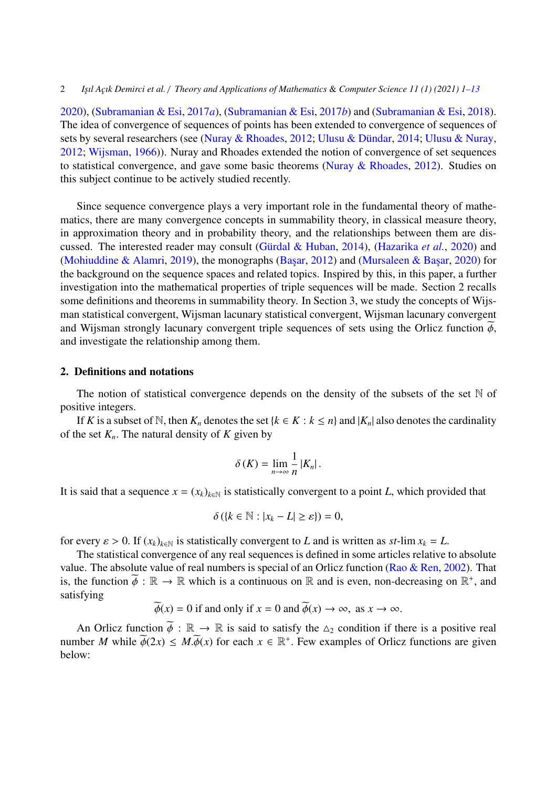[2020\)](#page-11-12), [\(Subramanian & Esi,](#page-11-13) [2017](#page-11-13)*a*), [\(Subramanian & Esi,](#page-11-14) [2017](#page-11-14)*b*) and [\(Subramanian & Esi,](#page-11-15) [2018\)](#page-11-15). The idea of convergence of sequences of points has been extended to convergence of sequences of sets by several researchers (see [\(Nuray & Rhoades,](#page-11-16) [2012;](#page-11-16) Ulusu & Dündar, [2014;](#page-11-17) [Ulusu & Nuray,](#page-12-1) [2012;](#page-12-1) [Wijsman,](#page-12-2) [1966\)](#page-12-2)). Nuray and Rhoades extended the notion of convergence of set sequences to statistical convergence, and gave some basic theorems [\(Nuray & Rhoades,](#page-11-16) [2012\)](#page-11-16). Studies on this subject continue to be actively studied recently.

Since sequence convergence plays a very important role in the fundamental theory of mathematics, there are many convergence concepts in summability theory, in classical measure theory, in approximation theory and in probability theory, and the relationships between them are dis-cussed. The interested reader may consult (Gürdal & Huban, [2014\)](#page-11-18), [\(Hazarika](#page-11-19) *et al.*, [2020\)](#page-11-19) and [\(Mohiuddine & Alamri,](#page-11-20) [2019\)](#page-11-20), the monographs (Başar, [2012\)](#page-10-11) and (Mursaleen & Başar, [2020\)](#page-11-21) for the background on the sequence spaces and related topics. Inspired by this, in this paper, a further investigation into the mathematical properties of triple sequences will be made. Section 2 recalls some definitions and theorems in summability theory. In Section 3, we study the concepts of Wijsman statistical convergent, Wijsman lacunary statistical convergent, Wijsman lacunary convergent and Wijsman strongly lacunary convergent triple sequences of sets using the Orlicz function  $\phi$ , and investigate the relationship among them.

#### 2. Definitions and notations

The notion of statistical convergence depends on the density of the subsets of the set  $\mathbb N$  of positive integers.

If *K* is a subset of N, then  $K_n$  denotes the set  $\{k \in K : k \leq n\}$  and  $|K_n|$  also denotes the cardinality of the set  $K_n$ . The natural density of  $K$  given by

$$
\delta(K)=\lim_{n\to\infty}\frac{1}{n}|K_n|.
$$

It is said that a sequence  $x = (x_k)_{k \in \mathbb{N}}$  is statistically convergent to a point *L*, which provided that

$$
\delta\left(\left\{k\in\mathbb{N}:|x_k-L|\geq\varepsilon\right\}\right)=0,
$$

for every  $\varepsilon > 0$ . If  $(x_k)_{k \in \mathbb{N}}$  is statistically convergent to *L* and is written as *st*-lim  $x_k = L$ .

The statistical convergence of any real sequences is defined in some articles relative to absolute value. The absolute value of real numbers is special of an Orlicz function [\(Rao & Ren,](#page-11-22) [2002\)](#page-11-22). That is, the function  $\widetilde{\phi} : \mathbb{R} \to \mathbb{R}$  which is a continuous on  $\mathbb{R}$  and is even, non-decreasing on  $\mathbb{R}^+$ , and satisfying satisfying

 $\widetilde{\phi}(x) = 0$  if and only if  $x = 0$  and  $\widetilde{\phi}(x) \rightarrow \infty$ , as  $x \rightarrow \infty$ .

An Orlicz function  $\widetilde{\phi} : \mathbb{R} \to \mathbb{R}$  is said to satisfy the  $\Delta_2$  condition if there is a positive real number *M* while  $\widetilde{\phi}(2x) \leq M \cdot \widetilde{\phi}(x)$  for each  $x \in \mathbb{R}^+$ . Few examples of Orlicz functions are given below: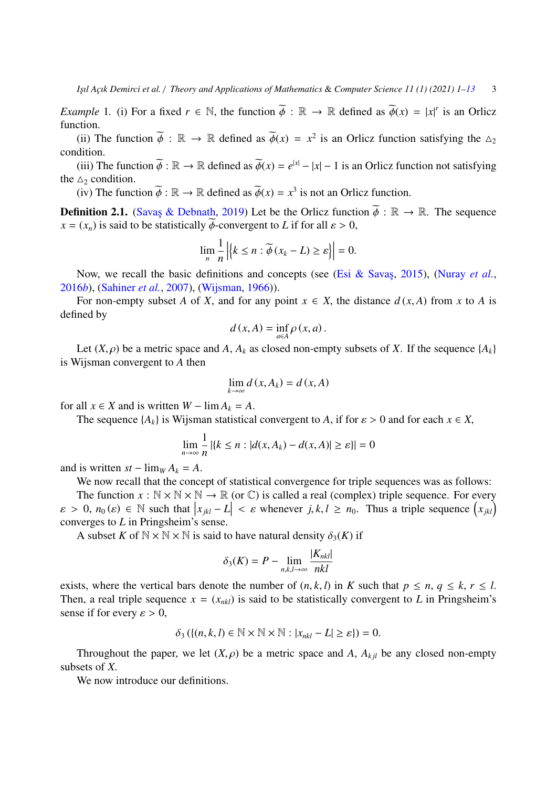*Example* 1. (i) For a fixed  $r \in \mathbb{N}$ , the function  $\tilde{\phi} : \mathbb{R} \to \mathbb{R}$  defined as  $\tilde{\phi}(x) = |x|^r$  is an Orlicz function function.

(ii) The function  $\widetilde{\phi}$  :  $\mathbb{R} \to \mathbb{R}$  defined as  $\widetilde{\phi}(x) = x^2$  is an Orlicz function satisfying the  $\Delta_2$  dition condition.

(iii) The function  $\widetilde{\phi} : \mathbb{R} \to \mathbb{R}$  defined as  $\widetilde{\phi}(x) = e^{|x|} - |x| - 1$  is an Orlicz function not satisfying  $\phi$ the  $\Delta_2$  condition.

(iv) The function  $\widetilde{\phi} : \mathbb{R} \to \mathbb{R}$  defined as  $\widetilde{\phi}(x) = x^3$  is not an Orlicz function.

**Definition 2.1.** (Savas & Debnath, [2019\)](#page-11-23) Let be the Orlicz function  $\tilde{\phi} : \mathbb{R} \to \mathbb{R}$ . The sequence  $x = (x_n)$  is said to be statistically  $\phi$ -convergent to *L* if for all  $\varepsilon > 0$ ,

$$
\lim_{n} \frac{1}{n} | \left\{ k \le n : \widetilde{\phi} \left( x_k - L \right) \ge \varepsilon \right\} | = 0.
$$

Now, we recall the basic definitions and concepts (see (Esi & Savas, [2015\)](#page-10-8), [\(Nuray](#page-11-24) *et al.*, [2016](#page-11-24)*b*), [\(Sahiner](#page-11-10) *et al.*, [2007\)](#page-11-10), [\(Wijsman,](#page-12-2) [1966\)](#page-12-2)).

For non-empty subset *A* of *X*, and for any point  $x \in X$ , the distance  $d(x, A)$  from *x* to *A* is defined by

$$
d(x, A) = \inf_{a \in A} \rho(x, a).
$$

Let  $(X, \rho)$  be a metric space and *A*,  $A_k$  as closed non-empty subsets of *X*. If the sequence  $\{A_k\}$ is Wijsman convergent to *A* then

$$
\lim_{k \to \infty} d(x, A_k) = d(x, A)
$$

for all  $x \in X$  and is written  $W - \lim A_k = A$ .

The sequence  $\{A_k\}$  is Wijsman statistical convergent to *A*, if for  $\varepsilon > 0$  and for each  $x \in X$ ,

$$
\lim_{n \to \infty} \frac{1}{n} | \{ k \le n : |d(x, A_k) - d(x, A)| \ge \varepsilon \} | = 0
$$

and is written  $st - \lim_W A_k = A$ .

We now recall that the concept of statistical convergence for triple sequences was as follows:

The function  $x : \mathbb{N} \times \mathbb{N} \times \mathbb{N} \to \mathbb{R}$  (or  $\mathbb{C}$ ) is called a real (complex) triple sequence. For every  $\varepsilon > 0$ ,  $n_0(\varepsilon) \in \mathbb{N}$  such that  $|x_{jkl} - L| < \varepsilon$  whenever  $j, k, l \ge n_0$ . Thus a triple sequence  $(x_{jkl})$ converges to *L* in Pringsheim's sense.

A subset *K* of  $N \times N \times N$  is said to have natural density  $\delta_3(K)$  if

$$
\delta_3(K) = P - \lim_{n,k,l \to \infty} \frac{|K_{nkl}|}{nkl}
$$

exists, where the vertical bars denote the number of  $(n, k, l)$  in *K* such that  $p \le n, q \le k, r \le l$ . Then, a real triple sequence  $x = (x_{nkl})$  is said to be statistically convergent to *L* in Pringsheim's sense if for every  $\varepsilon > 0$ ,

$$
\delta_3(\{(n,k,l)\in\mathbb{N}\times\mathbb{N}\times\mathbb{N}:|x_{nkl}-L|\geq\varepsilon\})=0.
$$

Throughout the paper, we let  $(X, \rho)$  be a metric space and *A*,  $A_{k i l}$  be any closed non-empty subsets of *<sup>X</sup>*.

We now introduce our definitions.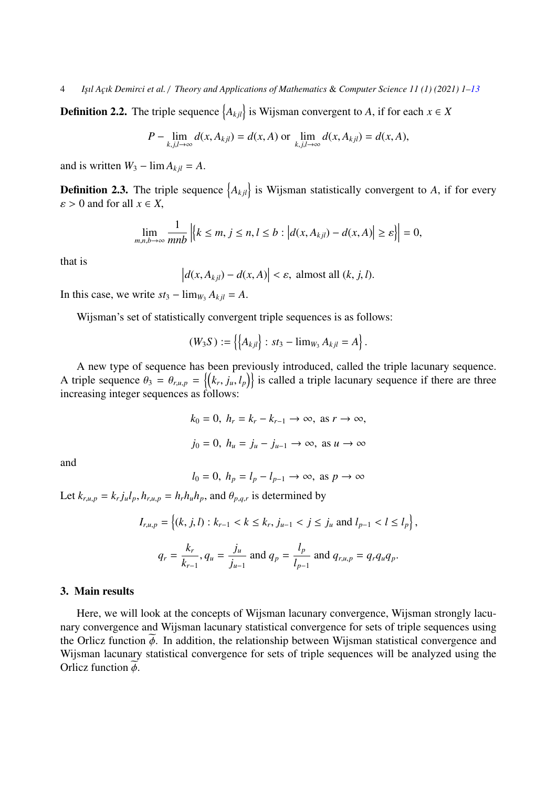**Definition 2.2.** The triple sequence  $\{A_{kjl}\}\$ is Wijsman convergent to *A*, if for each  $x \in X$ 

$$
P - \lim_{k,j,l \to \infty} d(x, A_{kjl}) = d(x, A) \text{ or } \lim_{k,j,l \to \infty} d(x, A_{kjl}) = d(x, A),
$$

and is written  $W_3$  –  $\lim A_{kjl} = A$ .

**Definition 2.3.** The triple sequence  $\{A_{kjl}\}\$ is Wijsman statistically convergent to *A*, if for every  $s > 0$  and for all  $r \in Y$  $\varepsilon > 0$  and for all  $x \in X$ ,

$$
\lim_{m,n,b\to\infty}\frac{1}{mnb}\left|\left\{k\leq m,\,j\leq n,\,l\leq b:\left|d(x,A_{kjl})-d(x,A)\right|\geq\varepsilon\right\}\right|=0,
$$

that is

$$
\left| d(x, A_{kjl}) - d(x, A) \right| < \varepsilon, \text{ almost all } (k, j, l).
$$

In this case, we write  $st_3 - \lim_{W_3} A_{kjl} = A$ .

Wijsman's set of statistically convergent triple sequences is as follows:

$$
(W_3S) := \{ \big\{ A_{kjl} \big\} : st_3 - \lim_{W_3} A_{kjl} = A \}.
$$

A new type of sequence has been previously introduced, called the triple lacunary sequence. A triple sequence  $\theta_3 = \theta_{r,u,p} = \{(k_r, j_u, l_p)\}\$  is called a triple lacunary sequence if there are three increasing integer sequences as follows:

$$
k_0 = 0, h_r = k_r - k_{r-1} \to \infty, \text{ as } r \to \infty,
$$
  

$$
j_0 = 0, h_u = j_u - j_{u-1} \to \infty, \text{ as } u \to \infty
$$

and

$$
l_0 = 0, h_p = l_p - l_{p-1} \to \infty, \text{ as } p \to \infty
$$

Let  $k_{r,u,p} = k_r j_u l_p$ ,  $h_{r,u,p} = h_r h_u h_p$ , and  $\theta_{p,q,r}$  is determined by

$$
I_{r,u,p} = \left\{ (k, j, l) : k_{r-1} < k \le k_r, j_{u-1} < j \le j_u \text{ and } l_{p-1} < l \le l_p \right\},\
$$
\n
$$
q_r = \frac{k_r}{k_{r-1}}, q_u = \frac{j_u}{j_{u-1}} \text{ and } q_p = \frac{l_p}{l_{p-1}} \text{ and } q_{r,u,p} = q_r q_u q_p.
$$

## 3. Main results

Here, we will look at the concepts of Wijsman lacunary convergence, Wijsman strongly lacunary convergence and Wijsman lacunary statistical convergence for sets of triple sequences using the Orlicz function  $\phi$ . In addition, the relationship between Wijsman statistical convergence and Wijsman lacunary statistical convergence for sets of triple sequences will be analyzed using the Orlicz function  $\phi$ .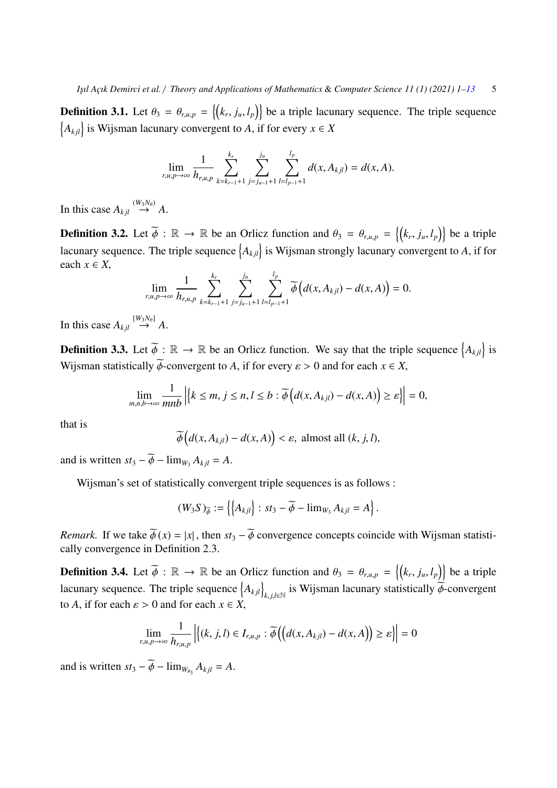**Definition 3.1.** Let  $\theta_3 = \theta_{r,u,p} = \{(k_r, j_u, l_p)\}$  be a triple lacunary sequence. The triple sequence  ${A_{kjl}}$  is Wijsman lacunary convergent to *A*, if for every *x* ∈ *X* 

$$
\lim_{r,u,p\to\infty}\frac{1}{h_{r,u,p}}\sum_{k=k_{r-1}+1}^{k_r}\sum_{j=j_{u-1}+1}^{j_u}\sum_{l=l_{p-1}+1}^{l_p}d(x,A_{kjl})=d(x,A).
$$

In this case  $A_{kjl} \stackrel{(W_3N_{\theta})}{\rightarrow} A$ .

**Definition 3.2.** Let  $\widetilde{\phi}$  :  $\mathbb{R} \to \mathbb{R}$  be an Orlicz function and  $\theta_3 = \theta_{r,u,p} = \{(k_r, j_u, l_p)\}$  be a triple lacunary sequence. The triple sequence  $\{A_{kjl}\}$  is Wijsman strongly lacunary convergent to *A*, if for each  $x \in X$ ,

$$
\lim_{r,u,p\to\infty}\frac{1}{h_{r,u,p}}\sum_{k=k_{r-1}+1}^{k_r}\sum_{j=j_{u-1}+1}^{j_u}\sum_{l=l_{p-1}+1}^{l_p}\widetilde{\phi}\left(d(x,A_{kjl})-d(x,A)\right)=0.
$$

In this case  $A_{kjl} \stackrel{[W_3N_{\theta}]}{\rightarrow} A$ .

**Definition 3.3.** Let  $\widetilde{\phi}$  :  $\mathbb{R} \to \mathbb{R}$  be an Orlicz function. We say that the triple sequence  $\{A_{kjl}\}$  is Wijsman statistically  $\widetilde{\phi}$ -convergent to *A*, if for every  $\varepsilon > 0$  and for each  $x \in X$ ,

$$
\lim_{m,n,b\to\infty}\frac{1}{mnb}\left|\left\{k\leq m,\,j\leq n,\,l\leq b:\widetilde{\phi}\left(d(x,A_{kjl})-d(x,A)\right)\geq \varepsilon\right\}\right|=0,
$$

that is

$$
\widetilde{\phi}\big(d(x,A_{kjl})-d(x,A)\big)<\varepsilon,\text{ almost all } (k,j,l),
$$

and is written  $st_3 - \phi - \lim_{W_3} A_{kjl} = A$ .

Wijsman's set of statistically convergent triple sequences is as follows :

$$
(W_3S)_{\widetilde{\phi}} := \left\{ \left\{ A_{kjl} \right\} : st_3 - \widetilde{\phi} - \lim_{W_3} A_{kjl} = A \right\}.
$$

*Remark.* If we take  $\widetilde{\phi}(x) = |x|$ , then  $st_3 - \widetilde{\phi}$  convergence concepts coincide with Wijsman statistically convergence in Definition 2.3.

**Definition 3.4.** Let  $\widetilde{\phi}$  :  $\mathbb{R} \to \mathbb{R}$  be an Orlicz function and  $\theta_3 = \theta_{r,u,p} = \{ (k_r, j_u, l_p) \}$  be a triple lacunary sequence. The triple sequence  $\{A_{kjl}\}$  $\mathbf{k}_{i,j,l \in \mathbb{N}}$  is Wijsman lacunary statistically  $\phi$ -convergent to *A*, if for each  $\varepsilon > 0$  and for each  $x \in X$ ,

$$
\lim_{r,u,p\to\infty}\frac{1}{h_{r,u,p}}\left|\{(k,j,l)\in I_{r,u,p}:\widetilde{\phi}\left(\big(d(x,A_{kjl})-d(x,A)\right)\geq\varepsilon\big)\right|=0
$$

and is written  $st_3 - \phi - \lim_{W_{\theta_3}} A_{kjl} = A$ .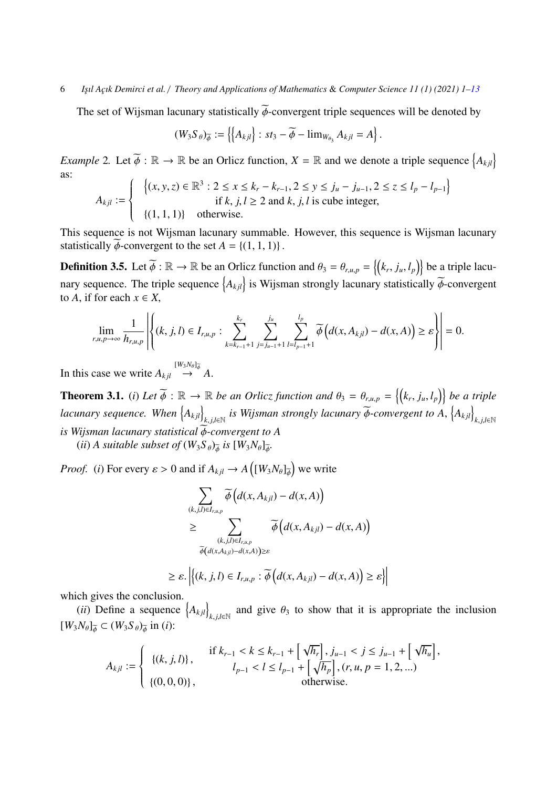## 6 *I¸sıl A¸cık Demirci et al.* / *Theory and Applications of Mathematics* & *Computer Science 11 (1) (2021) 1[–13](#page-10-0)*

The set of Wijsman lacunary statistically  $\widetilde{\phi}$ -convergent triple sequences will be denoted by

$$
(W_3S_{\theta})_{\widetilde{\phi}} := \left\{ \left\{ A_{kjl} \right\} : st_3 - \widetilde{\phi} - \lim_{W_{\theta_3}} A_{kjl} = A \right\}
$$

*Example* 2. Let  $\widetilde{\phi} : \mathbb{R} \to \mathbb{R}$  be an Orlicz function,  $X = \mathbb{R}$  and we denote a triple sequence  $\{A_{kjl}\}$ as:

$$
A_{kjl} := \begin{cases} \left\{ (x, y, z) \in \mathbb{R}^3 : 2 \le x \le k_r - k_{r-1}, 2 \le y \le j_u - j_{u-1}, 2 \le z \le l_p - l_{p-1} \right\} \\ \text{if } k, j, l \ge 2 \text{ and } k, j, l \text{ is cube integer,} \\ \left\{ (1, 1, 1) \right\} & \text{otherwise.} \end{cases}
$$

This sequence is not Wijsman lacunary summable. However, this sequence is Wijsman lacunary statistically  $\widetilde{\phi}$ -convergent to the set  $A = \{(1, 1, 1)\}\.$ 

**Definition 3.5.** Let  $\widetilde{\phi}$  :  $\mathbb{R} \to \mathbb{R}$  be an Orlicz function and  $\theta_3 = \theta_{r,u,p} = \{(k_r, j_u, l_p)\}$  be a triple lacunary sequence. The triple sequence  $\{A_{kjl}\}$  is Wijsman strongly lacunary statistically  $\widetilde{\phi}$ -convergent to A if for each  $x \in X$ to *A*, if for each  $x \in X$ ,

$$
\lim_{r,u,p\to\infty}\frac{1}{h_{r,u,p}}\left|\left\{(k,j,l)\in I_{r,u,p}:\sum_{k=k_{r-1}+1}^{k_r}\sum_{j=j_{u-1}+1}^{j_u}\sum_{l=l_{p-1}+1}^{l_p}\widetilde{\phi}\left(d(x,A_{kjl})-d(x,A)\right)\geq \varepsilon\right\}\right|=0.
$$

In this case we write  $A_{kjl} \stackrel{[W_3N_\theta]_{\phi}^-}{\rightarrow} A$ .

**Theorem 3.1.** (*i*) Let  $\widetilde{\phi}$  :  $\mathbb{R} \to \mathbb{R}$  be an Orlicz function and  $\theta_3 = \theta_{r,u,p} = \{ (k_r, j_u, l_p) \}$  be a triple *lacunary sequence. When*  $\{A_{kjl}\}$ *k.j,l*∈ℕ <sup>*is Wijsman strongly lacunary*  $\widetilde{\phi}$ *-convergent to A,*  $\left\{ A_{kjl} \right\}$ </sup> *<sup>k</sup>*, *<sup>j</sup>*,*l*∈<sup>N</sup> *is Wijsman lacunary statistical*  $\widetilde{\phi}$ -convergent to A

(*ii*) *A suitable subset of*  $(W_3S_\theta)_{\phi}$  *is*  $[W_3N_\theta]_{\phi}$ .

*Proof.* (*i*) For every  $\varepsilon > 0$  and if  $A_{kjl} \to A([W_3N_\theta]_{\phi})$  we write

$$
\sum_{(k,j,l)\in I_{r,u,p}} \widetilde{\phi}\Big(d(x,A_{kjl}) - d(x,A)\Big) \n\geq \sum_{\substack{(k,j,l)\in I_{r,u,p} \\ \widetilde{\phi}\big(d(x,A_{kjl}) - d(x,A)\big) \geq \varepsilon}} \widetilde{\phi}\Big(d(x,A_{kjl}) - d(x,A)\Big)
$$

$$
\geq \varepsilon. \left| \left\{ (k, j, l) \in I_{r,u,p} : \widetilde{\phi} \left( d(x, A_{kjl}) - d(x, A) \right) \geq \varepsilon \right\} \right|
$$

which gives the conclusion.

 $(ii)$  Define a sequence  $\{A_{kjl}\}$  $k$ , *j*,*l*∈N and give  $\theta_3$  to show that it is appropriate the inclusion  $[W_3N_\theta]_{\widetilde{\phi}} \subset (W_3S_\theta)_{\widetilde{\phi}}$  in (*i*):

$$
A_{kjl} := \begin{cases} \{(k, j, l)\}, & \text{if } k_{r-1} < k \leq k_{r-1} + \left[\sqrt{h_r}\right], j_{u-1} < j \leq j_{u-1} + \left[\sqrt{h_u}\right], \\ \{(0, 0, 0)\}, & \text{otherwise.} \end{cases}
$$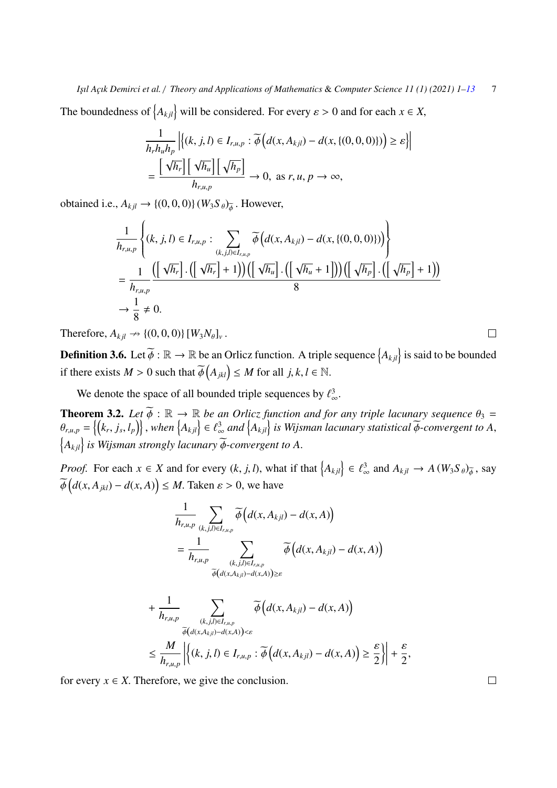*I¸sıl A¸cık Demirci et al.* / *Theory and Applications of Mathematics* & *Computer Science 11 (1) (2021) 1[–13](#page-10-0)* 7

The boundedness of  $\{A_{kjl}\}\$  will be considered. For every  $\varepsilon > 0$  and for each  $x \in X$ ,

$$
\frac{1}{h_r h_u h_p} \left| \left\{ (k, j, l) \in I_{r,u,p} : \widetilde{\phi} \left( d(x, A_{kjl}) - d(x, \{(0, 0, 0)\}) \right) \ge \varepsilon \right\} \right|
$$
\n
$$
= \frac{\left[ \sqrt{h_r} \right] \left[ \sqrt{h_u} \right] \left[ \sqrt{h_p} \right]}{h_{r,u,p}} \to 0, \text{ as } r, u, p \to \infty,
$$

obtained i.e.,  $A_{kjl} \rightarrow \{(0,0,0)\}(W_3S_\theta)_{\widetilde{\phi}}$ . However,

$$
\frac{1}{h_{r,u,p}}\left\{ (k, j, l) \in I_{r,u,p} : \sum_{(k,j,l) \in I_{r,u,p}} \widetilde{\phi}\left(d(x, A_{kjl}) - d(x, \{(0, 0, 0)\})\right) \right\}
$$
\n
$$
= \frac{1}{h_{r,u,p}} \frac{\left(\left[\sqrt{h_r}\right] \cdot \left(\left[\sqrt{h_r}\right] + 1\right)\right) \left(\left[\sqrt{h_u}\right] \cdot \left(\left[\sqrt{h_u} + 1\right]\right)\right) \left(\left[\sqrt{h_p}\right] \cdot \left(\left[\sqrt{h_p}\right] + 1\right)\right)}{8}
$$
\n
$$
\to \frac{1}{8} \neq 0.
$$

Therefore,  $A_{kjl} \nrightarrow \{(0, 0, 0)\} [W_3 N_\theta]_v$ .

**Definition 3.6.** Let  $\widetilde{\phi} : \mathbb{R} \to \mathbb{R}$  be an Orlicz function. A triple sequence  $\{A_{kjl}\}$  is said to be bounded if there exists  $M > 0$  such that  $\widetilde{\phi}(A_{jkl}) \leq M$  for all  $j, k, l \in \mathbb{N}$ .

We denote the space of all bounded triple sequences by  $\ell_{\infty}^3$ .

**Theorem 3.2.** Let  $\widetilde{\phi}$  :  $\mathbb{R} \to \mathbb{R}$  *be an Orlicz function and for any triple lacunary sequence*  $\theta_3 =$ <br> $\begin{bmatrix} \theta & -\frac{1}{k} & i & 1 \end{bmatrix}$  when  $\begin{bmatrix} \phi_1, \ldots, \phi_n \end{bmatrix} \in \mathbb{A}^3$  and  $\begin{bmatrix} \phi_1, \ldots, \phi_n \end{bmatrix}$   $\theta_{r,u,p} = \{(k_r, j_s, l_p)\}\,$ , when  $\{A_{kjl}\}\in \ell^3_\infty$  and  $\{A_{kjl}\}\$ is Wijsman lacunary statistical  $\widetilde{\phi}$ -convergent to A,  $\left\{A_{kjl}\right\}$  is Wijsman strongly lacunary  $\widetilde{\phi}$ -convergent to A.

*Proof.* For each  $x \in X$  and for every  $(k, j, l)$ , what if that  $\{A_{kjl}\}\in \ell^3_{\infty}$  and  $A_{kjl} \to A(W_3S_{\theta})_{\phi}$ , say  $\varphi$  $d(x, A_{jkl}) - d(x, A) \leq M$ . Taken  $\varepsilon > 0$ , we have

$$
\frac{1}{h_{r,u,p}}\sum_{(k,j,l)\in I_{r,u,p}}\widetilde{\phi}\Big(d(x,A_{kjl})-d(x,A)\Big) \n= \frac{1}{h_{r,u,p}}\sum_{\substack{(k,j,l)\in I_{r,u,p}\\ \widetilde{\phi}\big(d(x,A_{kjl})-d(x,A)\big)\geq \varepsilon}}\widetilde{\phi}\Big(d(x,A_{kjl})-d(x,A)\Big)
$$

$$
+ \frac{1}{h_{r,u,p}} \sum_{\substack{(k,j,l)\in I_{r,u,p}\\ \widetilde{\phi}(d(x,A_{kjl})-d(x,A))&\epsilon}} \widetilde{\phi}\Big(d(x,A_{kjl})-d(x,A)\Big) \n\leq \frac{M}{h_{r,u,p}} \left| \left\{ (k,j,l)\in I_{r,u,p} : \widetilde{\phi}\Big(d(x,A_{kjl})-d(x,A)\Big) \geq \frac{\epsilon}{2} \right\} \right| + \frac{\epsilon}{2},
$$

for every  $x \in X$ . Therefore, we give the conclusion.

 $\Box$ 

 $\Box$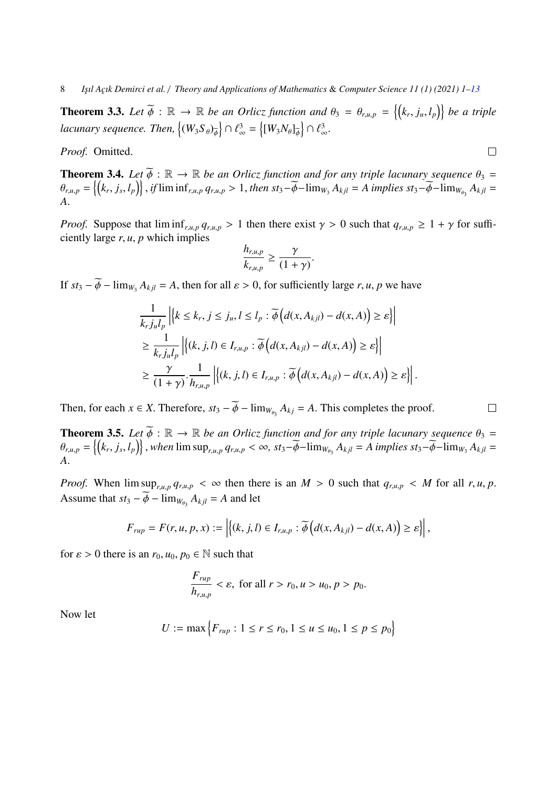8 *I¸sıl A¸cık Demirci et al.* / *Theory and Applications of Mathematics* & *Computer Science 11 (1) (2021) 1[–13](#page-10-0)*

**Theorem 3.3.** Let  $\widetilde{\phi}$  :  $\mathbb{R} \to \mathbb{R}$  be an Orlicz function and  $\theta_3 = \theta_{r,u,p} = \{(k_r, j_u, l_p)\}$  be a triple *lacunary sequence. Then,*  $\{(W_3S_\theta)_{\widetilde{\phi}}\} \cap \ell^3_\infty = \{(W_3N_\theta]_{\widetilde{\phi}}\} \cap \ell^3_\infty$ .

*Proof.* Omitted.

**Theorem 3.4.** *Let*  $\widetilde{\phi}$  :  $\mathbb{R} \to \mathbb{R}$  *be an Orlicz function and for any triple lacunary sequence*  $\theta_3 =$ <br> $\theta = \begin{bmatrix} l_k & i & l \end{bmatrix}$  if  $\liminf_{n \to \infty} \theta_n \geq 1$  then star  $\widetilde{\phi}$  -limmed  $\theta$  is  $\widetilde{\phi}$  -dimpli  $\theta_{r,u,p} = \left\{ (k_r, j_s, l_p) \right\}$ , if  $\liminf_{r,u,p} q_{r,u,p} > 1$ , then  $st_3 - \widetilde{\phi} - \lim_{W_3} A_{kjl} = A$  implies  $st_3 - \widetilde{\phi} - \lim_{W_{\theta_3}} A_{kjl} = A$ *A*.

*Proof.* Suppose that  $\liminf_{r,u,p} q_{r,u,p} > 1$  then there exist  $\gamma > 0$  such that  $q_{r,u,p} \geq 1 + \gamma$  for sufficiently large *<sup>r</sup>*, *<sup>u</sup>*, *<sup>p</sup>* which implies

$$
\frac{h_{r,u,p}}{k_{r,u,p}} \ge \frac{\gamma}{(1+\gamma)}
$$

If  $st_3 - \phi - \lim_{W_3} A_{kjl} = A$ , then for all  $\varepsilon > 0$ , for sufficiently large *r*, *u*, *p* we have

$$
\frac{1}{k_r j_u l_p} \left| \left\{ k \le k_r, j \le j_u, l \le l_p : \widetilde{\phi} \left( d(x, A_{kjl}) - d(x, A) \right) \ge \varepsilon \right\} \right|
$$
\n
$$
\ge \frac{1}{k_r j_u l_p} \left| \left\{ (k, j, l) \in I_{r, u, p} : \widetilde{\phi} \left( d(x, A_{kjl}) - d(x, A) \right) \ge \varepsilon \right\} \right|
$$
\n
$$
\ge \frac{\gamma}{(1 + \gamma)} \cdot \frac{1}{h_{r, u, p}} \left| \left\{ (k, j, l) \in I_{r, u, p} : \widetilde{\phi} \left( d(x, A_{kjl}) - d(x, A) \right) \ge \varepsilon \right\} \right|.
$$

Then, for each *x* ∈ *X*. Therefore,  $st_3 - \bar{\phi} - \lim_{W_{\theta_3}} A_{kj} = A$ . This completes the proof.

**Theorem 3.5.** Let  $\widetilde{\phi}$  :  $\mathbb{R} \to \mathbb{R}$  be an Orlicz function and for any triple lacunary sequence  $\theta_3$  =  $\theta_{r,u,p} = \left\{ (k_r, j_s, l_p) \right\}$ , when  $\limsup_{r,u,p} q_{r,u,p} < \infty$ ,  $st_3 - \widetilde{\phi} - \lim_{w_{\theta_3}} A_{kjl} = A$  implies  $st_3 - \widetilde{\phi} - \lim_{w_3} A_{kjl} = A$ *A*.

*Proof.* When  $\limsup_{r,u,p} q_{r,u,p} < \infty$  then there is an  $M > 0$  such that  $q_{r,u,p} < M$  for all  $r, u, p$ . Assume that  $st_3 - \phi - \lim_{W_{\theta_3}} A_{kjl} = A$  and let

$$
F_{rup} = F(r, u, p, x) := \left| \left\{ (k, j, l) \in I_{r, u, p} : \widetilde{\phi} \left( d(x, A_{kjl}) - d(x, A) \right) \geq \varepsilon \right\} \right|,
$$

for  $\varepsilon > 0$  there is an  $r_0, u_0, p_0 \in \mathbb{N}$  such that

$$
\frac{F_{rup}}{h_{r,u,p}} < \varepsilon, \text{ for all } r > r_0, u > u_0, p > p_0.
$$

Now let

$$
U := \max\left\{F_{rup} : 1 \le r \le r_0, 1 \le u \le u_0, 1 \le p \le p_0\right\}
$$

 $\Box$ 

 $\Box$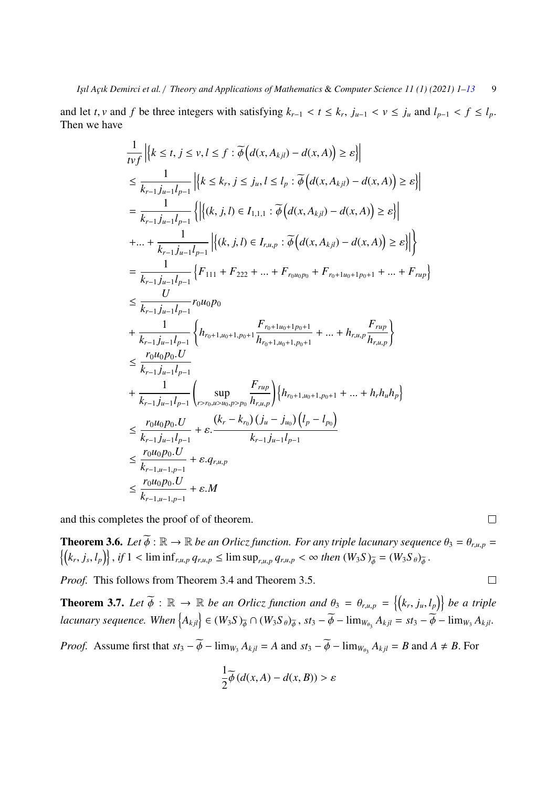and let *t*, *v* and *f* be three integers with satisfying  $k_{r-1} < t \le k_r$ ,  $j_{u-1} < v \le j_u$  and  $l_{p-1} < f \le l_p$ .<br>Then we have Then we have

$$
\frac{1}{t v f} \left| \left\{ k \le t, j \le v, l \le f : \widetilde{\phi} \left( d(x, A_{kjl}) - d(x, A) \right) \ge \varepsilon \right\} \right|
$$
\n
$$
\le \frac{1}{k_{r-1} j_{u-1} l_{p-1}} \left| \left\{ k \le k_r, j \le j_u, l \le l_p : \widetilde{\phi} \left( d(x, A_{kjl}) - d(x, A) \right) \ge \varepsilon \right\} \right|
$$
\n
$$
= \frac{1}{k_{r-1} j_{u-1} l_{p-1}} \left\{ \left| \left\{ (k, j, l) \in I_{1,1,1} : \widetilde{\phi} \left( d(x, A_{kjl}) - d(x, A) \right) \ge \varepsilon \right\} \right| \right\}
$$
\n
$$
+ \dots + \frac{1}{k_{r-1} j_{u-1} l_{p-1}} \left| \left\{ (k, j, l) \in I_{r,u,p} : \widetilde{\phi} \left( d(x, A_{kjl}) - d(x, A) \right) \ge \varepsilon \right\} \right| \right\}
$$
\n
$$
= \frac{1}{k_{r-1} j_{u-1} l_{p-1}} \left\{ F_{111} + F_{222} + \dots + F_{r_0 u_0 p_0} + F_{r_0 + 1 u_0 + 1 p_0 + 1} + \dots + F_{r u p} \right\}
$$
\n
$$
\le \frac{U}{k_{r-1} j_{u-1} l_{p-1}} r_0 u_0 p_0
$$
\n
$$
+ \frac{1}{k_{r-1} j_{u-1} l_{p-1}} \left\{ h_{r_0 + 1, u_0 + 1, p_0 + 1} \frac{F_{r_0 + 1 u_0 + 1, p_0 + 1}}{h_{r_0 + 1, u_0 + 1, p_0 + 1}} + \dots + h_{r, u, p} \frac{F_{r u p}}{h_{r, u, p}} \right\}
$$
\n
$$
\le \frac{r_0 u_0 p_0 U}{k_{r-1} j_{u-1} l_{p-1}} + \varepsilon \frac{\sup_{k_r = k_{r-1} j_u - 1} F_{r u p}}{k_{r-1} j_{u-1} l_{p-1}}
$$

and this completes the proof of of theorem.

**Theorem 3.6.** *Let*  $\widetilde{\phi}$  :  $\mathbb{R} \to \mathbb{R}$  *be an Orlicz function. For any triple lacunary sequence*  $\theta_3 = \theta_{r,u,p}$  $\{k_r,j_s,l_p\}\}\$ , if  $1 < \liminf_{r,u,p} q_{r,u,p} \leq \limsup_{r,u,p} q_{r,u,p} < \infty$  then  $(W_3S)_{\widetilde{\phi}} = (W_3S_{\theta})_{\widetilde{\phi}}$ .

*Proof.* This follows from Theorem 3.4 and Theorem 3.5.

**Theorem 3.7.** Let  $\widetilde{\phi}$  :  $\mathbb{R} \to \mathbb{R}$  be an Orlicz function and  $\theta_3 = \theta_{r,u,p} = \{ (k_r, j_u, l_p) \}$  be a triple  $lacunary sequence. When  $\{A_{kjl}\}\in (W_3S)_{\widetilde{\phi}}\cap (W_3S_{\theta})_{\widetilde{\phi}}, st_3-\widetilde{\phi}-\lim_{W_{\theta_3}}A_{kjl}=st_3-\widetilde{\phi}-\lim_{W_3}A_{kjl}.$$ 

*Proof.* Assume first that  $st_3 - \widetilde{\phi} - \lim_{W_3} A_{kjl} = A$  and  $st_3 - \widetilde{\phi} - \lim_{W_{\theta_3}} A_{kjl} = B$  and  $A \neq B$ . For

$$
\frac{1}{2}\widetilde{\phi}\left(d(x,A)-d(x,B)\right) > \varepsilon
$$

 $\Box$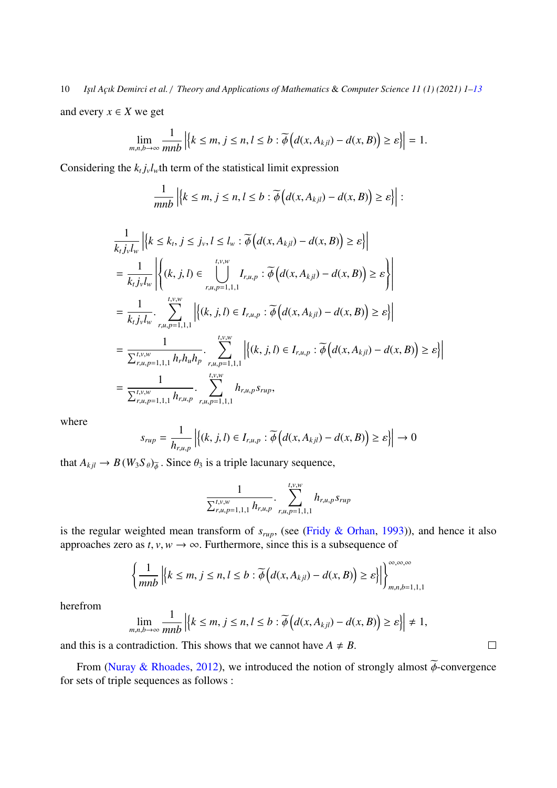10 *I¸sıl A¸cık Demirci et al.* / *Theory and Applications of Mathematics* & *Computer Science 11 (1) (2021) 1[–13](#page-10-0)*

and every  $x \in X$  we get

$$
\lim_{m,n,b\to\infty}\frac{1}{mnb}\left|\left\{k\leq m,\,j\leq n,\,l\leq b:\widetilde{\phi}\left(d(x,A_{kjl})-d(x,B)\right)\geq \varepsilon\right\}\right|=1.
$$

Considering the  $k_t j_v l_w$ th term of the statistical limit expression

$$
\frac{1}{mnb} \left| \left\{ k \leq m, j \leq n, l \leq b : \widetilde{\phi} \left( d(x, A_{kjl}) - d(x, B) \right) \geq \varepsilon \right\} \right| :
$$

$$
\frac{1}{k_{t}j_{v}l_{w}}\left|\left\{k \leq k_{t}, j \leq j_{v}, l \leq l_{w} : \widetilde{\phi}\left(d(x, A_{kjl}) - d(x, B)\right) \geq \varepsilon\right\}\right|
$$
\n
$$
= \frac{1}{k_{t}j_{v}l_{w}}\left|\left\{(k, j, l) \in \bigcup_{r, u, p=1, 1, 1}^{t, v, w} I_{r, u, p} : \widetilde{\phi}\left(d(x, A_{kjl}) - d(x, B)\right) \geq \varepsilon\right\}\right|
$$
\n
$$
= \frac{1}{k_{t}j_{v}l_{w}} \cdot \sum_{r, u, p=1, 1, 1}^{t, v, w}\left|\left\{(k, j, l) \in I_{r, u, p} : \widetilde{\phi}\left(d(x, A_{kjl}) - d(x, B)\right) \geq \varepsilon\right\}\right|
$$
\n
$$
= \frac{1}{\sum_{r, u, p=1, 1, 1}^{t, v, w} h_{r}h_{u}h_{p}} \cdot \sum_{r, u, p=1, 1, 1}^{t, v, w}\left|\left\{(k, j, l) \in I_{r, u, p} : \widetilde{\phi}\left(d(x, A_{kjl}) - d(x, B)\right) \geq \varepsilon\right\}\right|
$$
\n
$$
= \frac{1}{\sum_{r, u, p=1, 1, 1}^{t, v, w} h_{r, u, p}h_{r, u, p} s_{r u p}},
$$

where

$$
s_{rup} = \frac{1}{h_{r,u,p}} \left| \left\{ (k, j, l) \in I_{r,u,p} : \widetilde{\phi} \left( d(x, A_{kjl}) - d(x, B) \right) \ge \varepsilon \right\} \right| \to 0
$$

that  $A_{kjl} \rightarrow B(W_3S_\theta)_{\phi}$ . Since  $\theta_3$  is a triple lacunary sequence,

$$
\frac{1}{\sum_{r,u,p=1,1,1}^{t,v,w}h_{r,u,p}}\cdot\sum_{r,u,p=1,1,1}^{t,v,w}h_{r,u,p}s_{rup}
$$

is the regular weighted mean transform of *<sup>s</sup>rup*, (see [\(Fridy & Orhan,](#page-10-12) [1993\)](#page-10-12)), and hence it also approaches zero as  $t$ ,  $v$ ,  $w \rightarrow \infty$ . Furthermore, since this is a subsequence of

$$
\left\{\frac{1}{mnb} \left| \left\{k \leq m, j \leq n, l \leq b : \widetilde{\phi}\left(d(x, A_{kjl}) - d(x, B)\right) \geq \varepsilon\right\} \right|\right\}_{m,n,b=1,1,1}^{\infty,\infty,\infty}
$$

herefrom

$$
\lim_{m,n,b\to\infty}\frac{1}{mnb}\left|\left\{k\leq m,\,j\leq n,\,l\leq b:\widetilde{\phi}\left(d(x,A_{kjl})-d(x,B)\right)\geq \varepsilon\right\}\right|\neq 1,
$$

 $\Box$ 

and this is a contradiction. This shows that we cannot have  $A \neq B$ .

From [\(Nuray & Rhoades,](#page-11-16) [2012\)](#page-11-16), we introduced the notion of strongly almost  $\widetilde{\phi}$ -convergence for sets of triple sequences as follows :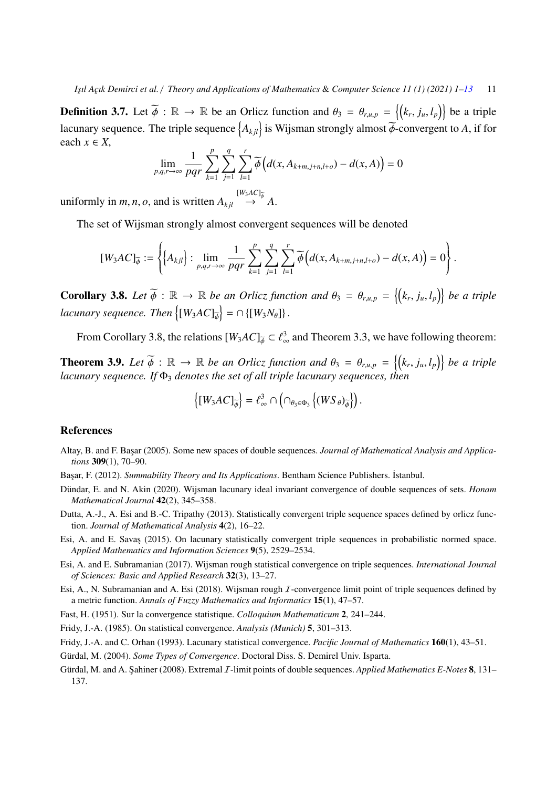**Definition 3.7.** Let  $\widetilde{\phi}$  :  $\mathbb{R} \to \mathbb{R}$  be an Orlicz function and  $\theta_3 = \theta_{r,u,p} = \{ (k_r, j_u, l_p) \}$  be a triple lacunary sequence. The triple sequence  $\{A_{kjl}\}$  is Wijsman strongly almost  $\widetilde{\phi}$ -convergent to *A*, if for each  $x \in X$ ,

$$
\lim_{p,q,r\to\infty}\frac{1}{pqr}\sum_{k=1}^p\sum_{j=1}^q\sum_{l=1}^r\widetilde{\phi}\left(d(x,A_{k+m,j+n,l+o})-d(x,A)\right)=0
$$

uniformly in *m*, *n*, *o*, and is written  $A_{kjl} \stackrel{[W_3AC]_{\phi}}{\rightarrow} A$ .

The set of Wijsman strongly almost convergent sequences will be denoted

$$
[W_3AC]_{\widetilde{\phi}} := \left\{ \left\{ A_{kjl} \right\} : \lim_{p,q,r \to \infty} \frac{1}{pqr} \sum_{k=1}^p \sum_{j=1}^q \sum_{l=1}^r \widetilde{\phi}\left( d(x,A_{k+m,j+n,l+o}) - d(x,A) \right) = 0 \right\}.
$$

**Corollary 3.8.** Let  $\widetilde{\phi}$  :  $\mathbb{R} \to \mathbb{R}$  be an Orlicz function and  $\theta_3 = \theta_{r,u,p} = \{(k_r, j_u, l_p)\}$  be a triple *lacunary sequence. Then*  $\left\{ [W_3AC]_{\phi}^{\sim} \right\} = \cap \left\{ [W_3N_{\theta}] \right\}$ .

From Corollary 3.8, the relations  $[W_3AC]_{\phi} \subset \ell_{\infty}^3$  and Theorem 3.3, we have following theorem:

**Theorem 3.9.** Let  $\widetilde{\phi}$  :  $\mathbb{R} \to \mathbb{R}$  be an Orlicz function and  $\theta_3 = \theta_{r,u,p} = \{(k_r, j_u, l_p)\}$  be a triple<br>lacynary sequence, If  $\Phi_3$  denotes the set of all triple lacynary sequences, then *lacunary sequence. If* Φ<sup>3</sup> *denotes the set of all triple lacunary sequences, then*

$$
\left\{[W_3AC]_{\overline{\phi}}\right\} = \ell_\infty^3 \cap \left(\cap_{\theta_3 \in \Phi_3} \left\{(WS_\theta)_{\overline{\phi}}\right\}\right).
$$

#### <span id="page-10-0"></span>References

<span id="page-10-4"></span>Altay, B. and F. Başar (2005). Some new spaces of double sequences. *Journal of Mathematical Analysis and Applications* 309(1), 70–90.

<span id="page-10-11"></span>Başar, F. (2012). *Summability Theory and Its Applications*. Bentham Science Publishers. İstanbul.

- <span id="page-10-5"></span>Dündar, E. and N. Akin (2020). Wijsman lacunary ideal invariant convergence of double sequences of sets. *Honam Mathematical Journal* 42(2), 345–358.
- <span id="page-10-7"></span>Dutta, A.-J., A. Esi and B.-C. Tripathy (2013). Statistically convergent triple sequence spaces defined by orlicz function. *Journal of Mathematical Analysis* 4(2), 16–22.
- <span id="page-10-8"></span>Esi, A. and E. Savas (2015). On lacunary statistically convergent triple sequences in probabilistic normed space. *Applied Mathematics and Information Sciences* 9(5), 2529–2534.
- <span id="page-10-9"></span>Esi, A. and E. Subramanian (2017). Wijsman rough statistical convergence on triple sequences. *International Journal of Sciences: Basic and Applied Research* 32(3), 13–27.
- <span id="page-10-10"></span>Esi, A., N. Subramanian and A. Esi (2018). Wijsman rough  $I$ -convergence limit point of triple sequences defined by a metric function. *Annals of Fuzzy Mathematics and Informatics* 15(1), 47–57.
- <span id="page-10-1"></span>Fast, H. (1951). Sur la convergence statistique. *Colloquium Mathematicum* 2, 241–244.

<span id="page-10-2"></span>Fridy, J.-A. (1985). On statistical convergence. *Analysis (Munich)* 5, 301–313.

- <span id="page-10-12"></span>Fridy, J.-A. and C. Orhan (1993). Lacunary statistical convergence. *Pacific Journal of Mathematics* 160(1), 43–51.
- <span id="page-10-3"></span>Gürdal, M. (2004). Some Types of Convergence. Doctoral Diss. S. Demirel Univ. Isparta.
- <span id="page-10-6"></span>Gürdal, M. and A. Sahiner (2008). Extremal *I*-limit points of double sequences. *Applied Mathematics E-Notes* 8, 131– 137.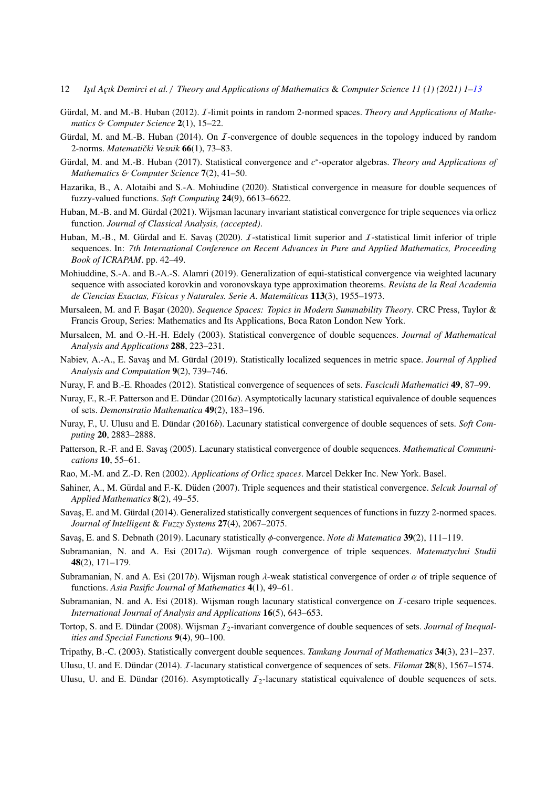- 12 *I¸sıl A¸cık Demirci et al.* / *Theory and Applications of Mathematics* & *Computer Science 11 (1) (2021) 1[–13](#page-10-0)*
- <span id="page-11-1"></span>Gürdal, M. and M.-B. Huban (2012). *I*-limit points in random 2-normed spaces. *Theory and Applications of Mathematics* & *Computer Science* 2(1), 15–22.
- <span id="page-11-18"></span>Gürdal, M. and M.-B. Huban (2014). On  $I$ -convergence of double sequences in the topology induced by random 2-norms. *Matematički Vesnik* 66(1), 73-83.
- <span id="page-11-2"></span>Gürdal, M. and M.-B. Huban (2017). Statistical convergence and c<sup>\*</sup>-operator algebras. *Theory and Applications of Mathematics* & *Computer Science* 7(2), 41–50.
- <span id="page-11-19"></span>Hazarika, B., A. Alotaibi and S.-A. Mohiudine (2020). Statistical convergence in measure for double sequences of fuzzy-valued functions. *Soft Computing* 24(9), 6613–6622.
- <span id="page-11-11"></span>Huban, M.-B. and M. Gürdal (2021). Wijsman lacunary invariant statistical convergence for triple sequences via orlicz function. *Journal of Classical Analysis, (accepted)*.
- <span id="page-11-12"></span>Huban, M.-B., M. Gürdal and E. Savas (2020).  $I$ -statistical limit superior and  $I$ -statistical limit inferior of triple sequences. In: *7th International Conference on Recent Advances in Pure and Applied Mathematics, Proceeding Book of ICRAPAM*. pp. 42–49.
- <span id="page-11-20"></span>Mohiuddine, S.-A. and B.-A.-S. Alamri (2019). Generalization of equi-statistical convergence via weighted lacunary sequence with associated korovkin and voronovskaya type approximation theorems. *Revista de la Real Academia de Ciencias Exactas, F´ısicas y Naturales. Serie A. Matem ´aticas* 113(3), 1955–1973.
- <span id="page-11-21"></span>Mursaleen, M. and F. Başar (2020). *Sequence Spaces: Topics in Modern Summability Theory*. CRC Press, Taylor & Francis Group, Series: Mathematics and Its Applications, Boca Raton London New York.
- <span id="page-11-5"></span>Mursaleen, M. and O.-H.-H. Edely (2003). Statistical convergence of double sequences. *Journal of Mathematical Analysis and Applications* 288, 223–231.
- <span id="page-11-3"></span>Nabiev, A.-A., E. Savas and M. Gürdal (2019). Statistically localized sequences in metric space. *Journal of Applied Analysis and Computation* 9(2), 739–746.
- <span id="page-11-16"></span>Nuray, F. and B.-E. Rhoades (2012). Statistical convergence of sequences of sets. *Fasciculi Mathematici* 49, 87–99.
- <span id="page-11-6"></span>Nuray, F., R.-F. Patterson and E. Dündar (2016*a*). Asymptotically lacunary statistical equivalence of double sequences of sets. *Demonstratio Mathematica* 49(2), 183–196.
- <span id="page-11-24"></span>Nuray, F., U. Ulusu and E. Dündar (2016b). Lacunary statistical convergence of double sequences of sets. *Soft Computing* 20, 2883–2888.
- <span id="page-11-7"></span>Patterson, R.-F. and E. Savas (2005). Lacunary statistical convergence of double sequences. *Mathematical Communications* 10, 55–61.
- <span id="page-11-22"></span>Rao, M.-M. and Z.-D. Ren (2002). *Applications of Orlicz spaces*. Marcel Dekker Inc. New York. Basel.
- <span id="page-11-10"></span>Sahiner, A., M. Gürdal and F.-K. Düden (2007). Triple sequences and their statistical convergence. Selcuk Journal of *Applied Mathematics* 8(2), 49–55.
- <span id="page-11-4"></span>Savas, E. and M. Gürdal (2014). Generalized statistically convergent sequences of functions in fuzzy 2-normed spaces. *Journal of Intelligent* & *Fuzzy Systems* 27(4), 2067–2075.
- <span id="page-11-23"></span>Savas¸, E. and S. Debnath (2019). Lacunary statistically φ-convergence. *Note di Matematica* <sup>39</sup>(2), 111–119.
- <span id="page-11-13"></span>Subramanian, N. and A. Esi (2017*a*). Wijsman rough convergence of triple sequences. *Matematychni Studii* 48(2), 171–179.
- <span id="page-11-14"></span>Subramanian, N. and A. Esi (2017*b*). Wijsman rough  $\lambda$ -weak statistical convergence of order  $\alpha$  of triple sequence of functions. *Asia Pasific Journal of Mathematics* 4(1), 49–61.
- <span id="page-11-15"></span>Subramanian, N. and A. Esi (2018). Wijsman rough lacunary statistical convergence on *I*-cesaro triple sequences. *International Journal of Analysis and Applications* 16(5), 643–653.
- <span id="page-11-8"></span>Tortop, S. and E. Dündar (2008). Wijsman  $I_2$ -invariant convergence of double sequences of sets. *Journal of Inequalities and Special Functions* 9(4), 90–100.
- <span id="page-11-0"></span>Tripathy, B.-C. (2003). Statistically convergent double sequences. *Tamkang Journal of Mathematics* 34(3), 231–237.
- <span id="page-11-17"></span>Ulusu, U. and E. Dündar (2014). *I*-lacunary statistical convergence of sequences of sets. *Filomat* **28**(8), 1567–1574.
- <span id="page-11-9"></span>Ulusu, U. and E. Dündar (2016). Asymptotically  $I_2$ -lacunary statistical equivalence of double sequences of sets.